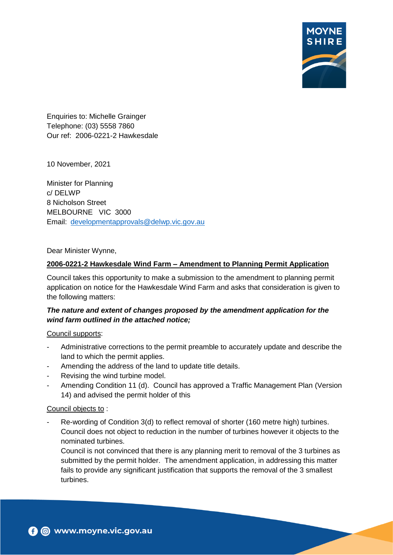

Enquiries to: Michelle Grainger Telephone: (03) 5558 7860 Our ref: 2006-0221-2 Hawkesdale

10 November, 2021

Minister for Planning c/ DELWP 8 Nicholson Street MELBOURNE VIC 3000 Email: [developmentapprovals@delwp.vic.gov.au](mailto:developmentapprovals@delwp.vic.gov.au)

Dear Minister Wynne,

#### **2006-0221-2 Hawkesdale Wind Farm – Amendment to Planning Permit Application**

Council takes this opportunity to make a submission to the amendment to planning permit application on notice for the Hawkesdale Wind Farm and asks that consideration is given to the following matters:

# *The nature and extent of changes proposed by the amendment application for the wind farm outlined in the attached notice;*

#### Council supports:

- Administrative corrections to the permit preamble to accurately update and describe the land to which the permit applies.
- Amending the address of the land to update title details.
- Revising the wind turbine model.
- Amending Condition 11 (d). Council has approved a Traffic Management Plan (Version 14) and advised the permit holder of this

#### Council objects to :

Re-wording of Condition 3(d) to reflect removal of shorter (160 metre high) turbines. Council does not object to reduction in the number of turbines however it objects to the nominated turbines.

Council is not convinced that there is any planning merit to removal of the 3 turbines as submitted by the permit holder. The amendment application, in addressing this matter fails to provide any significant justification that supports the removal of the 3 smallest turbines.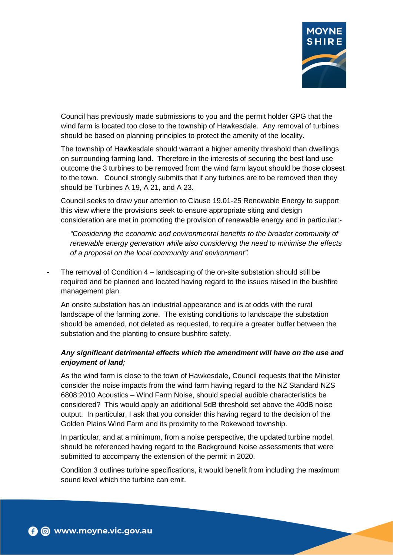

Council has previously made submissions to you and the permit holder GPG that the wind farm is located too close to the township of Hawkesdale. Any removal of turbines should be based on planning principles to protect the amenity of the locality.

The township of Hawkesdale should warrant a higher amenity threshold than dwellings on surrounding farming land. Therefore in the interests of securing the best land use outcome the 3 turbines to be removed from the wind farm layout should be those closest to the town. Council strongly submits that if any turbines are to be removed then they should be Turbines A 19, A 21, and A 23.

Council seeks to draw your attention to Clause 19.01-25 Renewable Energy to support this view where the provisions seek to ensure appropriate siting and design consideration are met in promoting the provision of renewable energy and in particular:-

*"Considering the economic and environmental benefits to the broader community of renewable energy generation while also considering the need to minimise the effects of a proposal on the local community and environment".* 

The removal of Condition  $4$  – landscaping of the on-site substation should still be required and be planned and located having regard to the issues raised in the bushfire management plan.

An onsite substation has an industrial appearance and is at odds with the rural landscape of the farming zone. The existing conditions to landscape the substation should be amended, not deleted as requested, to require a greater buffer between the substation and the planting to ensure bushfire safety.

# *Any significant detrimental effects which the amendment will have on the use and enjoyment of land;*

As the wind farm is close to the town of Hawkesdale, Council requests that the Minister consider the noise impacts from the wind farm having regard to the NZ Standard NZS 6808:2010 Acoustics – Wind Farm Noise, should special audible characteristics be considered? This would apply an additional 5dB threshold set above the 40dB noise output. In particular, I ask that you consider this having regard to the decision of the Golden Plains Wind Farm and its proximity to the Rokewood township.

In particular, and at a minimum, from a noise perspective, the updated turbine model, should be referenced having regard to the Background Noise assessments that were submitted to accompany the extension of the permit in 2020.

Condition 3 outlines turbine specifications, it would benefit from including the maximum sound level which the turbine can emit.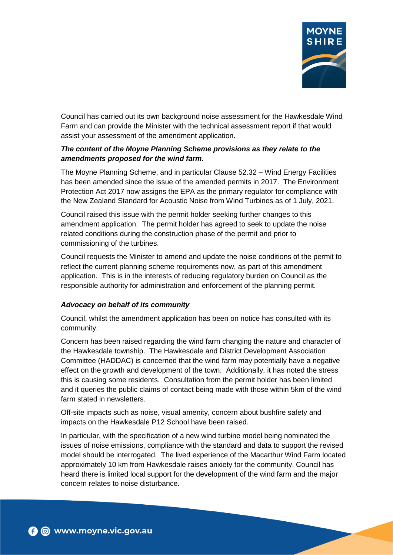

Council has carried out its own background noise assessment for the Hawkesdale Wind Farm and can provide the Minister with the technical assessment report if that would assist your assessment of the amendment application.

# *The content of the Moyne Planning Scheme provisions as they relate to the amendments proposed for the wind farm.*

The Moyne Planning Scheme, and in particular Clause 52.32 – Wind Energy Facilities has been amended since the issue of the amended permits in 2017. The Environment Protection Act 2017 now assigns the EPA as the primary regulator for compliance with the New Zealand Standard for Acoustic Noise from Wind Turbines as of 1 July, 2021.

Council raised this issue with the permit holder seeking further changes to this amendment application. The permit holder has agreed to seek to update the noise related conditions during the construction phase of the permit and prior to commissioning of the turbines.

Council requests the Minister to amend and update the noise conditions of the permit to reflect the current planning scheme requirements now, as part of this amendment application. This is in the interests of reducing regulatory burden on Council as the responsible authority for administration and enforcement of the planning permit.

# *Advocacy on behalf of its community*

Council, whilst the amendment application has been on notice has consulted with its community.

Concern has been raised regarding the wind farm changing the nature and character of the Hawkesdale township. The Hawkesdale and District Development Association Committee (HADDAC) is concerned that the wind farm may potentially have a negative effect on the growth and development of the town. Additionally, it has noted the stress this is causing some residents. Consultation from the permit holder has been limited and it queries the public claims of contact being made with those within 5km of the wind farm stated in newsletters.

Off-site impacts such as noise, visual amenity, concern about bushfire safety and impacts on the Hawkesdale P12 School have been raised.

In particular, with the specification of a new wind turbine model being nominated the issues of noise emissions, compliance with the standard and data to support the revised model should be interrogated. The lived experience of the Macarthur Wind Farm located approximately 10 km from Hawkesdale raises anxiety for the community. Council has heard there is limited local support for the development of the wind farm and the major concern relates to noise disturbance.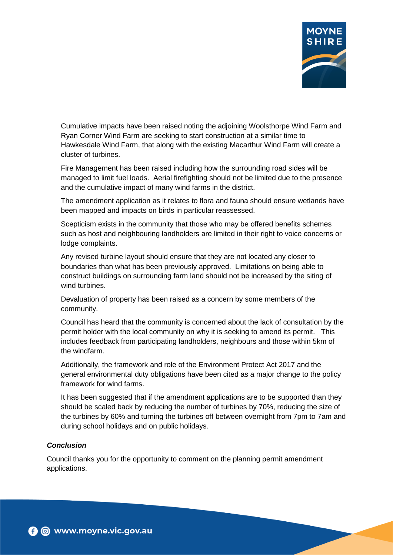

Cumulative impacts have been raised noting the adjoining Woolsthorpe Wind Farm and Ryan Corner Wind Farm are seeking to start construction at a similar time to Hawkesdale Wind Farm, that along with the existing Macarthur Wind Farm will create a cluster of turbines.

Fire Management has been raised including how the surrounding road sides will be managed to limit fuel loads. Aerial firefighting should not be limited due to the presence and the cumulative impact of many wind farms in the district.

The amendment application as it relates to flora and fauna should ensure wetlands have been mapped and impacts on birds in particular reassessed.

Scepticism exists in the community that those who may be offered benefits schemes such as host and neighbouring landholders are limited in their right to voice concerns or lodge complaints.

Any revised turbine layout should ensure that they are not located any closer to boundaries than what has been previously approved. Limitations on being able to construct buildings on surrounding farm land should not be increased by the siting of wind turbines.

Devaluation of property has been raised as a concern by some members of the community.

Council has heard that the community is concerned about the lack of consultation by the permit holder with the local community on why it is seeking to amend its permit. This includes feedback from participating landholders, neighbours and those within 5km of the windfarm.

Additionally, the framework and role of the Environment Protect Act 2017 and the general environmental duty obligations have been cited as a major change to the policy framework for wind farms.

It has been suggested that if the amendment applications are to be supported than they should be scaled back by reducing the number of turbines by 70%, reducing the size of the turbines by 60% and turning the turbines off between overnight from 7pm to 7am and during school holidays and on public holidays.

#### *Conclusion*

Council thanks you for the opportunity to comment on the planning permit amendment applications.